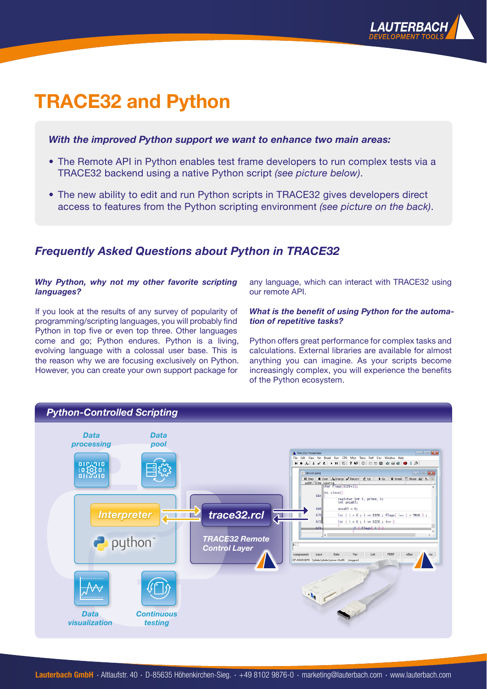

# **TRACE32 and Python**

### *With the improved Python support we want to enhance two main areas:*

- The Remote API in Python enables test frame developers to run complex tests via a TRACE32 backend using a native Python script *(see picture below)*.
- The new ability to edit and run Python scripts in TRACE32 gives developers direct access to features from the Python scripting environment *(see picture on the back)*.

# *Frequently Asked Questions about Python in TRACE32*

#### *Why Python, why not my other favorite scripting languages?*

lf you look at the results of any survey of popularity of programming/scripting languages, you will probably find Python in top five or even top three. Other languages come and go; Python endures. Python is a living, evolving language with a colossal user base. This is the reason why we are focusing exclusively on Python. However, you can create your own support package for

any language, which can interact with TRACE32 using our remote API.

#### *What is the benefit of using Python for the automation of repetitive tasks?*

Python offers great performance for complex tasks and calculations. External libraries are available for almost anything you can imagine. As your scripts become increasingly complex, you will experience the benefits of the Python ecosystem.